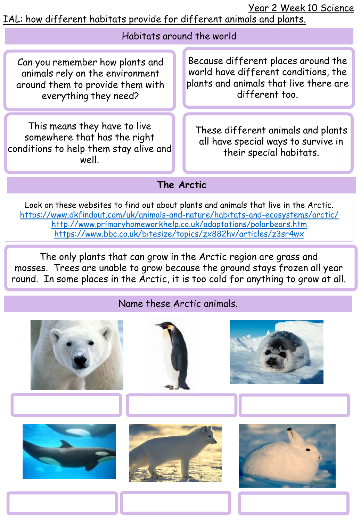Year 2 Week 10 Science

IAL: how different habitats provide for different animals and plants.

| Habitats around the world                                                                                                       |                                                                                                                                         |  |
|---------------------------------------------------------------------------------------------------------------------------------|-----------------------------------------------------------------------------------------------------------------------------------------|--|
| Can you remember how plants and<br>animals rely on the environment<br>around them to provide them with<br>everything they need? | Because different places around the<br>world have different conditions, the<br>plants and animals that live there are<br>different too. |  |
| This means they have to live<br>somewhere that has the right<br>conditions to help them stay alive and<br>well.                 | These different animals and plants<br>all have special ways to survive in<br>their special habitats.                                    |  |
| The Arctic                                                                                                                      |                                                                                                                                         |  |
| Look an those websites to find out about plants and animals that live in the Anctic                                             |                                                                                                                                         |  |

Look on these websites to find out about plants and animals that live in the Arctic. <https://www.dkfindout.com/uk/animals-and-nature/habitats-and-ecosystems/arctic/> <http://www.primaryhomeworkhelp.co.uk/adaptations/polarbears.htm> <https://www.bbc.co.uk/bitesize/topics/zx882hv/articles/z3sr4wx>

The only plants that can grow in the Arctic region are grass and mosses. Trees are unable to grow because the ground stays frozen all year round. In some places in the Arctic, it is too cold for anything to grow at all.

## Name these Arctic animals.

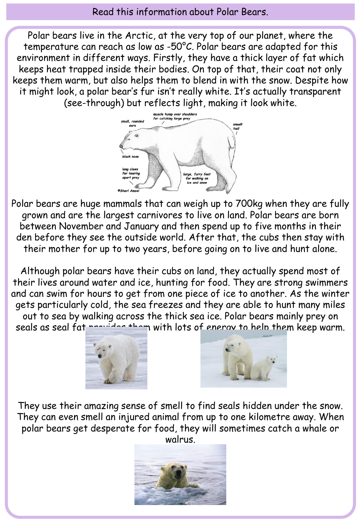## Read this information about Polar Bears.

Polar bears live in the Arctic, at the very top of our planet, where the temperature can reach as low as -50°C. Polar bears are adapted for this environment in different ways. Firstly, they have a thick layer of fat which keeps heat trapped inside their bodies. On top of that, their coat not only keeps them warm, but also helps them to blend in with the snow. Despite how it might look, a polar bear's fur isn't really white. It's actually transparent (see-through) but reflects light, making it look white.



Polar bears are huge mammals that can weigh up to 700kg when they are fully grown and are the largest carnivores to live on land. Polar bears are born between November and January and then spend up to five months in their den before they see the outside world. After that, the cubs then stay with their mother for up to two years, before going on to live and hunt alone.

Although polar bears have their cubs on land, they actually spend most of their lives around water and ice, hunting for food. They are strong swimmers and can swim for hours to get from one piece of ice to another. As the winter gets particularly cold, the sea freezes and they are able to hunt many miles out to sea by walking across the thick sea ice. Polar bears mainly prey on seals as seal fat provided them with lots of energy to help them keep warm.





They use their amazing sense of smell to find seals hidden under the snow. They can even smell an injured animal from up to one kilometre away. When polar bears get desperate for food, they will sometimes catch a whale or walrus.

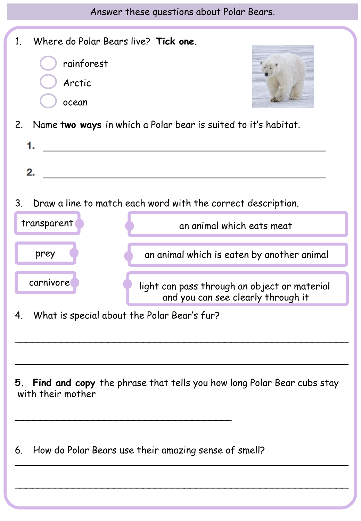Answer these questions about Polar Bears.

| Where do Polar Bears live? Tick one.<br>1 <sub>1</sub>                                        |                                                                                    |  |
|-----------------------------------------------------------------------------------------------|------------------------------------------------------------------------------------|--|
| rainforest                                                                                    |                                                                                    |  |
| Arctic                                                                                        |                                                                                    |  |
| ocean                                                                                         |                                                                                    |  |
| 2. Name two ways in which a Polar bear is suited to it's habitat.                             |                                                                                    |  |
| 1.<br><u> 1989 - John Stein, Amerikaansk politiker (</u>                                      |                                                                                    |  |
| 2.                                                                                            |                                                                                    |  |
|                                                                                               |                                                                                    |  |
| 3.<br>Draw a line to match each word with the correct description.                            |                                                                                    |  |
| transparent                                                                                   | an animal which eats meat                                                          |  |
| prey                                                                                          | an animal which is eaten by another animal                                         |  |
|                                                                                               |                                                                                    |  |
| carnivore                                                                                     | light can pass through an object or material<br>and you can see clearly through it |  |
| What is special about the Polar Bear's fur?<br>4.                                             |                                                                                    |  |
|                                                                                               |                                                                                    |  |
|                                                                                               |                                                                                    |  |
| 5. Find and copy the phrase that tells you how long Polar Bear cubs stay<br>with their mother |                                                                                    |  |
| How do Polar Bears use their amazing sense of smell?<br>6.                                    |                                                                                    |  |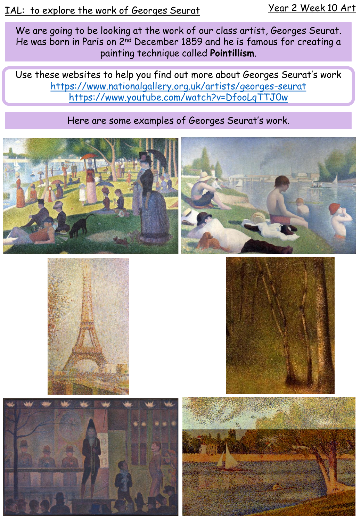We are going to be looking at the work of our class artist, Georges Seurat. He was born in Paris on 2<sup>nd</sup> December 1859 and he is famous for creating a painting technique called **Pointillism**.

Use these websites to help you find out more about Georges Seurat's work <https://www.nationalgallery.org.uk/artists/georges-seurat> <https://www.youtube.com/watch?v=DfooLqTTJ0w>

## Here are some examples of Georges Seurat's work.









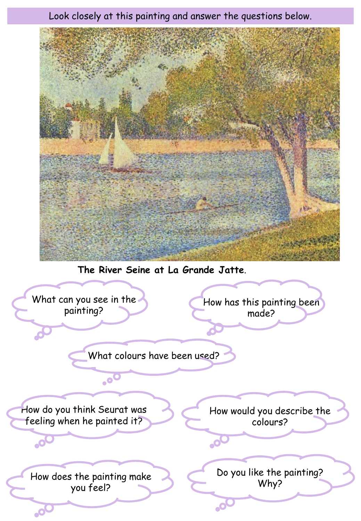Look closely at this painting and answer the questions below.